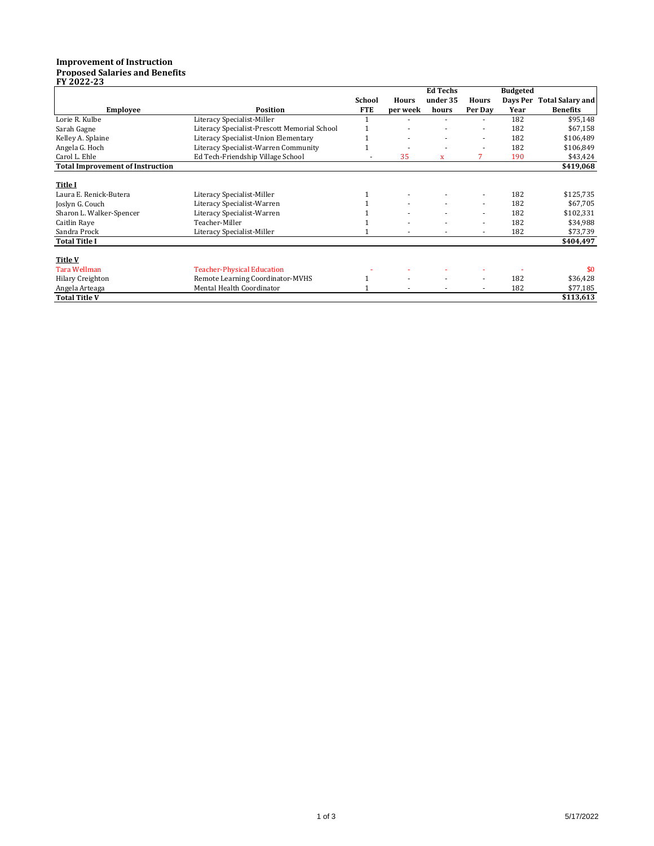## **Improvement of Instruction Proposed Salaries and Benefits FY 2022-23**

|                                         |                                              |               |              | Ed Techs     |                          | <b>Budgeted</b> |                         |
|-----------------------------------------|----------------------------------------------|---------------|--------------|--------------|--------------------------|-----------------|-------------------------|
|                                         |                                              | <b>School</b> | <b>Hours</b> | under 35     | <b>Hours</b>             | Davs Per        | <b>Total Salary and</b> |
| <b>Employee</b>                         | Position                                     | <b>FTE</b>    | per week     | hours        | Per Day                  | Year            | <b>Benefits</b>         |
| Lorie R. Kulbe                          | Literacy Specialist-Miller                   |               |              |              | $\overline{\phantom{a}}$ | 182             | \$95,148                |
| Sarah Gagne                             | Literacy Specialist-Prescott Memorial School |               |              |              | $\overline{\phantom{a}}$ | 182             | \$67,158                |
| Kelley A. Splaine                       | Literacy Specialist-Union Elementary         |               |              |              | $\overline{\phantom{a}}$ | 182             | \$106,489               |
| Angela G. Hoch                          | Literacy Specialist-Warren Community         |               |              |              |                          | 182             | \$106,849               |
| Carol L. Ehle                           | Ed Tech-Friendship Village School            |               | 35           | $\mathbf{x}$ | 7                        | 190             | \$43,424                |
| <b>Total Improvement of Instruction</b> |                                              |               |              |              |                          |                 | \$419,068               |
|                                         |                                              |               |              |              |                          |                 |                         |
| <b>Title I</b>                          |                                              |               |              |              |                          |                 |                         |
| Laura E. Renick-Butera                  | Literacy Specialist-Miller                   |               |              |              |                          | 182             | \$125,735               |
| Joslyn G. Couch                         | Literacy Specialist-Warren                   |               |              |              | $\overline{\phantom{a}}$ | 182             | \$67,705                |
| Sharon L. Walker-Spencer                | Literacy Specialist-Warren                   |               |              | ۰            | $\sim$                   | 182             | \$102,331               |
| Caitlin Raye                            | Teacher-Miller                               |               |              |              | $\overline{\phantom{a}}$ | 182             | \$34,988                |
| Sandra Prock                            | Literacy Specialist-Miller                   |               |              |              |                          | 182             | \$73,739                |
| <b>Total Title I</b>                    |                                              |               |              |              |                          |                 | \$404,497               |
|                                         |                                              |               |              |              |                          |                 |                         |
| <b>Title V</b>                          |                                              |               |              |              |                          |                 |                         |
| <b>Tara Wellman</b>                     | <b>Teacher-Physical Education</b>            |               |              |              |                          |                 | \$0                     |
| <b>Hilary Creighton</b>                 | Remote Learning Coordinator-MVHS             |               |              |              | $\overline{\phantom{a}}$ | 182             | \$36,428                |
| Angela Arteaga                          | Mental Health Coordinator                    |               |              |              |                          | 182             | \$77,185                |
| <b>Total Title V</b>                    |                                              |               |              |              |                          |                 | \$113,613               |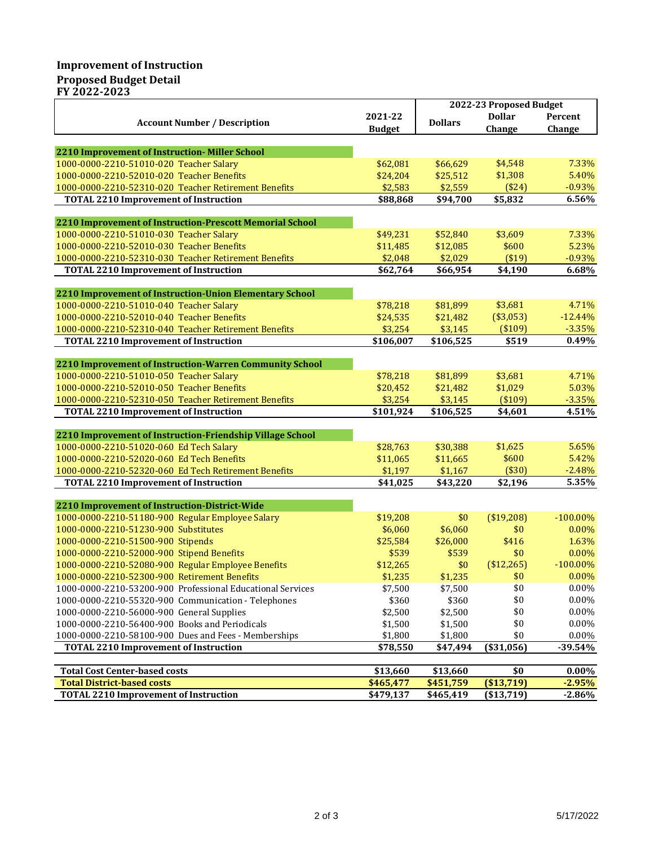## **Improvement of Instruction Proposed Budget Detail**

**FY 2022-2023**

|                                                                                                                   |                     | 2022-23 Proposed Budget |                     |                   |  |
|-------------------------------------------------------------------------------------------------------------------|---------------------|-------------------------|---------------------|-------------------|--|
|                                                                                                                   | 2021-22             |                         | <b>Dollar</b>       | Percent           |  |
| <b>Account Number / Description</b>                                                                               | <b>Budget</b>       | <b>Dollars</b>          | Change              | Change            |  |
|                                                                                                                   |                     |                         |                     |                   |  |
| 2210 Improvement of Instruction-Miller School                                                                     |                     |                         |                     |                   |  |
| 1000-0000-2210-51010-020 Teacher Salary                                                                           | \$62,081            | \$66,629                | \$4,548             | 7.33%             |  |
| 1000-0000-2210-52010-020 Teacher Benefits                                                                         | \$24,204            | \$25,512                | \$1,308             | 5.40%             |  |
| 1000-0000-2210-52310-020 Teacher Retirement Benefits                                                              | \$2,583             | \$2,559                 | $(*24)$             | $-0.93%$          |  |
| <b>TOTAL 2210 Improvement of Instruction</b>                                                                      | \$88,868            | \$94,700                | \$5,832             | 6.56%             |  |
|                                                                                                                   |                     |                         |                     |                   |  |
| 2210 Improvement of Instruction-Prescott Memorial School                                                          |                     |                         |                     |                   |  |
| 1000-0000-2210-51010-030 Teacher Salary                                                                           | \$49,231            | \$52,840                | \$3,609             | 7.33%             |  |
| 1000-0000-2210-52010-030 Teacher Benefits                                                                         | \$11,485            | \$12,085                | \$600               | 5.23%             |  |
| 1000-0000-2210-52310-030 Teacher Retirement Benefits                                                              | \$2,048             | \$2,029                 | ( \$19)             | $-0.93%$          |  |
| <b>TOTAL 2210 Improvement of Instruction</b>                                                                      | \$62,764            | \$66,954                | $\overline{54,190}$ | 6.68%             |  |
|                                                                                                                   |                     |                         |                     |                   |  |
| 2210 Improvement of Instruction-Union Elementary School<br>1000-0000-2210-51010-040 Teacher Salary                | \$78,218            | \$81,899                | \$3,681             | 4.71%             |  |
| 1000-0000-2210-52010-040 Teacher Benefits                                                                         | \$24,535            | \$21,482                | (\$3,053)           | $-12.44%$         |  |
| 1000-0000-2210-52310-040 Teacher Retirement Benefits                                                              | \$3,254             | \$3,145                 | (\$109)             | $-3.35%$          |  |
| <b>TOTAL 2210 Improvement of Instruction</b>                                                                      | \$106,007           | \$106,525               | \$519               | 0.49%             |  |
|                                                                                                                   |                     |                         |                     |                   |  |
| 2210 Improvement of Instruction-Warren Community School                                                           |                     |                         |                     |                   |  |
| 1000-0000-2210-51010-050 Teacher Salary                                                                           | \$78,218            | \$81,899                | \$3,681             | 4.71%             |  |
| 1000-0000-2210-52010-050 Teacher Benefits                                                                         | \$20,452            | \$21,482                | \$1,029             | 5.03%             |  |
| 1000-0000-2210-52310-050 Teacher Retirement Benefits                                                              | \$3,254             | \$3,145                 | (\$109)             | $-3.35%$          |  |
| <b>TOTAL 2210 Improvement of Instruction</b>                                                                      | \$101,924           | \$106,525               | \$4,601             | 4.51%             |  |
|                                                                                                                   |                     |                         |                     |                   |  |
| 2210 Improvement of Instruction-Friendship Village School                                                         |                     |                         |                     |                   |  |
| 1000-0000-2210-51020-060 Ed Tech Salary                                                                           | \$28,763            | \$30,388                | \$1,625             | 5.65%             |  |
| 1000-0000-2210-52020-060 Ed Tech Benefits                                                                         | \$11,065            | \$11,665                | \$600               | 5.42%             |  |
| 1000-0000-2210-52320-060 Ed Tech Retirement Benefits                                                              | \$1,197             | \$1,167                 | (\$30)              | $-2.48%$          |  |
| <b>TOTAL 2210 Improvement of Instruction</b>                                                                      | \$41,025            | \$43,220                | \$2,196             | 5.35%             |  |
|                                                                                                                   |                     |                         |                     |                   |  |
| 2210 Improvement of Instruction-District-Wide                                                                     |                     |                         |                     |                   |  |
| 1000-0000-2210-51180-900 Regular Employee Salary                                                                  | \$19,208            | \$0                     | (\$19,208)          | $-100.00\%$       |  |
| 1000-0000-2210-51230-900 Substitutes                                                                              | \$6,060             | \$6,060                 | \$0                 | 0.00%             |  |
| 1000-0000-2210-51500-900 Stipends                                                                                 | \$25,584            | \$26,000                | \$416               | 1.63%<br>0.00%    |  |
| 1000-0000-2210-52000-900 Stipend Benefits                                                                         | \$539               | \$539                   | \$0                 | $-100.00\%$       |  |
| 1000-0000-2210-52080-900 Regular Employee Benefits<br>1000-0000-2210-52300-900 Retirement Benefits                | \$12,265<br>\$1,235 | \$0<br>\$1,235          | (\$12,265)<br>\$0   | 0.00%             |  |
|                                                                                                                   |                     |                         | \$0                 |                   |  |
| 1000-0000-2210-53200-900 Professional Educational Services<br>1000-0000-2210-55320-900 Communication - Telephones | \$7,500<br>\$360    | \$7,500<br>\$360        | \$0                 | $0.00\%$<br>0.00% |  |
| 1000-0000-2210-56000-900 General Supplies                                                                         | \$2,500             | \$2,500                 | \$0                 | $0.00\%$          |  |
| 1000-0000-2210-56400-900 Books and Periodicals                                                                    | \$1,500             | \$1,500                 | \$0                 | $0.00\%$          |  |
| 1000-0000-2210-58100-900 Dues and Fees - Memberships                                                              | \$1,800             | \$1,800                 | \$0                 | 0.00%             |  |
| <b>TOTAL 2210 Improvement of Instruction</b>                                                                      | \$78,550            | \$47,494                | ( \$31,056]         | $-39.54%$         |  |
|                                                                                                                   |                     |                         |                     |                   |  |
| <b>Total Cost Center-based costs</b>                                                                              | \$13,660            | \$13,660                | \$0                 | $0.00\%$          |  |
| <b>Total District-based costs</b>                                                                                 | \$465,477           | \$451,759               | ( \$13, 719)        | $-2.95%$          |  |
| <b>TOTAL 2210 Improvement of Instruction</b>                                                                      | \$479,137           | \$465,419               | ( \$13, 719)        | $-2.86%$          |  |